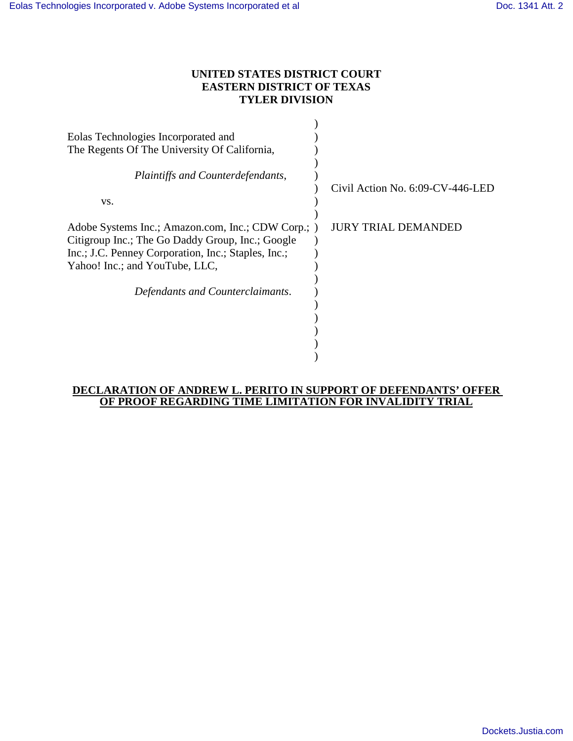## **UNITED STATES DISTRICT COURT EASTERN DISTRICT OF TEXAS TYLER DIVISION**

| Eolas Technologies Incorporated and                                                                                                                                                             |                                     |
|-------------------------------------------------------------------------------------------------------------------------------------------------------------------------------------------------|-------------------------------------|
| The Regents Of The University Of California,                                                                                                                                                    |                                     |
| Plaintiffs and Counterdefendants,                                                                                                                                                               | Civil Action No. $6:09$ -CV-446-LED |
| VS.                                                                                                                                                                                             |                                     |
| Adobe Systems Inc.; Amazon.com, Inc.; CDW Corp.; )<br>Citigroup Inc.; The Go Daddy Group, Inc.; Google<br>Inc.; J.C. Penney Corporation, Inc.; Staples, Inc.;<br>Yahoo! Inc.; and YouTube, LLC, | JURY TRIAL DEMANDED                 |
| Defendants and Counterclaimants.                                                                                                                                                                |                                     |
|                                                                                                                                                                                                 |                                     |
|                                                                                                                                                                                                 |                                     |
|                                                                                                                                                                                                 |                                     |

## **DECLARATION OF ANDREW L. PERITO IN SUPPORT OF DEFENDANTS' OFFER OF PROOF REGARDING TIME LIMITATION FOR INVALIDITY TRIAL**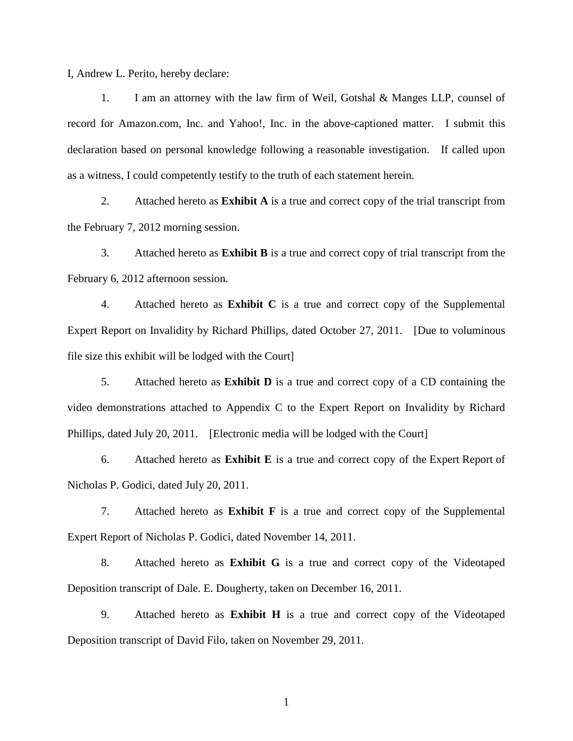I, Andrew L. Perito, hereby declare:

1. I am an attorney with the law firm of Weil, Gotshal & Manges LLP, counsel of record for Amazon.com, Inc. and Yahoo!, Inc. in the above-captioned matter. I submit this declaration based on personal knowledge following a reasonable investigation. If called upon as a witness, I could competently testify to the truth of each statement herein.

2. Attached hereto as **Exhibit A** is a true and correct copy of the trial transcript from the February 7, 2012 morning session.

3. Attached hereto as **Exhibit B** is a true and correct copy of trial transcript from the February 6, 2012 afternoon session.

4. Attached hereto as **Exhibit C** is a true and correct copy of the Supplemental Expert Report on Invalidity by Richard Phillips, dated October 27, 2011. [Due to voluminous file size this exhibit will be lodged with the Court]

5. Attached hereto as **Exhibit D** is a true and correct copy of a CD containing the video demonstrations attached to Appendix C to the Expert Report on Invalidity by Richard Phillips, dated July 20, 2011. [Electronic media will be lodged with the Court]

6. Attached hereto as **Exhibit E** is a true and correct copy of the Expert Report of Nicholas P. Godici, dated July 20, 2011.

7. Attached hereto as **Exhibit F** is a true and correct copy of the Supplemental Expert Report of Nicholas P. Godici, dated November 14, 2011.

8. Attached hereto as **Exhibit G** is a true and correct copy of the Videotaped Deposition transcript of Dale. E. Dougherty, taken on December 16, 2011.

9. Attached hereto as **Exhibit H** is a true and correct copy of the Videotaped Deposition transcript of David Filo, taken on November 29, 2011.

1